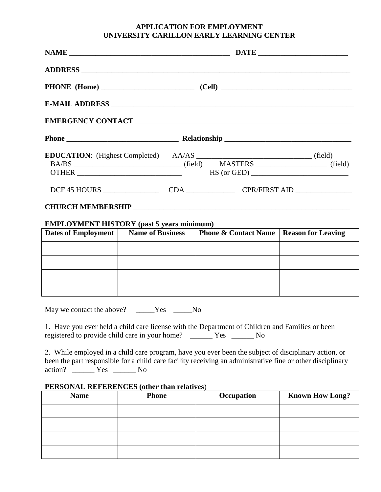## **APPLICATION FOR EMPLOYMENT UNIVERSITY CARILLON EARLY LEARNING CENTER**

|                     |                                            | $BA/BS$ (field) $MASTERS$ (field) (field)                                                                                                                                                                          |  |  |  |  |  |
|---------------------|--------------------------------------------|--------------------------------------------------------------------------------------------------------------------------------------------------------------------------------------------------------------------|--|--|--|--|--|
|                     |                                            |                                                                                                                                                                                                                    |  |  |  |  |  |
|                     |                                            |                                                                                                                                                                                                                    |  |  |  |  |  |
|                     |                                            | EMPLOYMENT HISTORY (past 5 years minimum)                                                                                                                                                                          |  |  |  |  |  |
| Dates of Employment |                                            | Name of Business   Phone & Contact Name   Reason for Leaving                                                                                                                                                       |  |  |  |  |  |
|                     |                                            |                                                                                                                                                                                                                    |  |  |  |  |  |
|                     |                                            |                                                                                                                                                                                                                    |  |  |  |  |  |
|                     |                                            |                                                                                                                                                                                                                    |  |  |  |  |  |
|                     |                                            |                                                                                                                                                                                                                    |  |  |  |  |  |
|                     | May we contact the above? _____Yes _____No |                                                                                                                                                                                                                    |  |  |  |  |  |
|                     |                                            | 1. Have you ever held a child care license with the Department of Children and Families or been                                                                                                                    |  |  |  |  |  |
|                     |                                            | 2. While employed in a child care program, have you ever been the subject of disciplinary action, or<br>been the part responsible for a child care facility receiving an administrative fine or other disciplinary |  |  |  |  |  |

action? \_\_\_\_\_\_ Yes \_\_\_\_\_\_ No

## **PERSONAL REFERENCES (other than relatives**)

| <b>Name</b> | <b>Phone</b> | Occupation | <b>Known How Long?</b> |
|-------------|--------------|------------|------------------------|
|             |              |            |                        |
|             |              |            |                        |
|             |              |            |                        |
|             |              |            |                        |